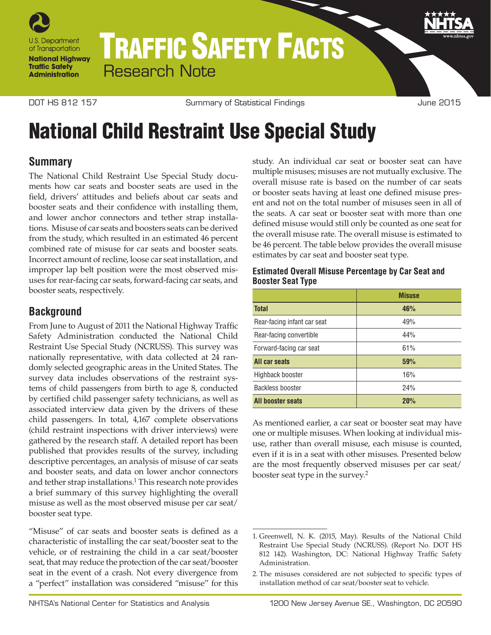

# TRAFFIC SAFETY FACTS Research Note

Summary of Statistical Findings DOT HS 812 157 June 2015

## National Child Restraint Use Special Study

### **Summary**

The National Child Restraint Use Special Study documents how car seats and booster seats are used in the field, drivers' attitudes and beliefs about car seats and booster seats and their confidence with installing them, and lower anchor connectors and tether strap installations. Misuse of car seats and boosters seats can be derived from the study, which resulted in an estimated 46 percent combined rate of misuse for car seats and booster seats. Incorrect amount of recline, loose car seat installation, and improper lap belt position were the most observed misuses for rear-facing car seats, forward-facing car seats, and booster seats, respectively.

#### **Background**

From June to August of 2011 the National Highway Traffic Safety Administration conducted the National Child Restraint Use Special Study (NCRUSS). This survey was nationally representative, with data collected at 24 randomly selected geographic areas in the United States. The survey data includes observations of the restraint systems of child passengers from birth to age 8, conducted by certified child passenger safety technicians, as well as associated interview data given by the drivers of these child passengers. In total, 4,167 complete observations (child restraint inspections with driver interviews) were gathered by the research staff. A detailed report has been published that provides results of the survey, including descriptive percentages, an analysis of misuse of car seats and booster seats, and data on lower anchor connectors and tether strap installations.<sup>1</sup> This research note provides a brief summary of this survey highlighting the overall misuse as well as the most observed misuse per car seat/ booster seat type.

"Misuse" of car seats and booster seats is defined as a characteristic of installing the car seat/booster seat to the vehicle, or of restraining the child in a car seat/booster seat, that may reduce the protection of the car seat/booster seat in the event of a crash. Not every divergence from a "perfect" installation was considered "misuse" for this

study. An individual car seat or booster seat can have multiple misuses; misuses are not mutually exclusive. The overall misuse rate is based on the number of car seats or booster seats having at least one defined misuse present and not on the total number of misuses seen in all of the seats. A car seat or booster seat with more than one defined misuse would still only be counted as one seat for the overall misuse rate. The overall misuse is estimated to be 46 percent. The table below provides the overall misuse estimates by car seat and booster seat type.

#### **Estimated Overall Misuse Percentage by Car Seat and Booster Seat Type**

|                             | <b>Misuse</b> |
|-----------------------------|---------------|
| <b>Total</b>                | 46%           |
| Rear-facing infant car seat | 49%           |
| Rear-facing convertible     | 44%           |
| Forward-facing car seat     | 61%           |
| All car seats               | 59%           |
| Highback booster            | 16%           |
| Backless booster            | 24%           |
| <b>All hooster seats</b>    | 20%           |

As mentioned earlier, a car seat or booster seat may have one or multiple misuses. When looking at individual misuse, rather than overall misuse, each misuse is counted, even if it is in a seat with other misuses. Presented below are the most frequently observed misuses per car seat/ booster seat type in the survey.2

<sup>1.</sup> Greenwell, N. K. (2015, May). Results of the National Child Restraint Use Special Study (NCRUSS). (Report No. DOT HS 812 142). Washington, DC: National Highway Traffic Safety Administration.

<sup>2.</sup> The misuses considered are not subjected to specific types of installation method of car seat/booster seat to vehicle.